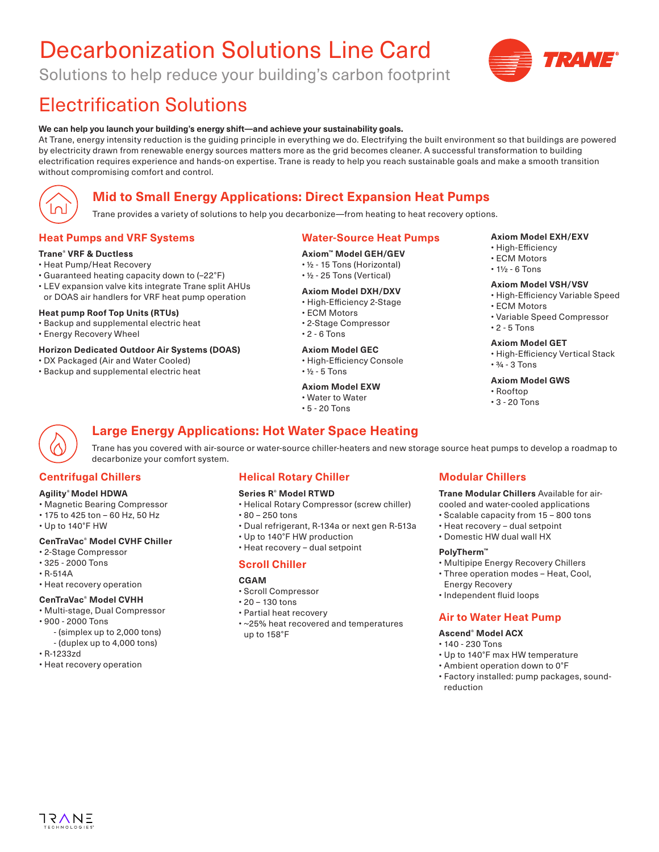# Decarbonization Solutions Line Card

Solutions to help reduce your building's carbon footprint



# Electrification Solutions

#### **We can help you launch your building's energy shift—and achieve your sustainability goals.**

At Trane, energy intensity reduction is the guiding principle in everything we do. Electrifying the built environment so that buildings are powered by electricity drawn from renewable energy sources matters more as the grid becomes cleaner. A successful transformation to building electrification requires experience and hands-on expertise. Trane is ready to help you reach sustainable goals and make a smooth transition without compromising comfort and control.



# **Mid to Small Energy Applications: Direct Expansion Heat Pumps**

Trane provides a variety of solutions to help you decarbonize—from heating to heat recovery options.

#### **Heat Pumps and VRF Systems**

#### **Trane® VRF & Ductless**

- Heat Pump/Heat Recovery
- Guaranteed heating capacity down to (–22°F)
- LEV expansion valve kits integrate Trane split AHUs or DOAS air handlers for VRF heat pump operation

#### **Heat pump Roof Top Units (RTUs)**

- Backup and supplemental electric heat
- Energy Recovery Wheel

#### **Horizon Dedicated Outdoor Air Systems (DOAS)**

- DX Packaged (Air and Water Cooled)
- Backup and supplemental electric heat

#### **Water-Source Heat Pumps**

#### **Axiom™ Model GEH/GEV**

- ½ 15 Tons (Horizontal)
- ½ 25 Tons (Vertical)

#### **Axiom Model DXH/DXV**

- High-Efficiency 2-Stage
- ECM Motors
- 2-Stage Compressor
- $\cdot$  2 6 Tons

### **Axiom Model GEC**

• High-Efficiency Console • ½ - 5 Tons

#### **Axiom Model EXH/EXV** • High-Efficiency

- ECM Motors
- $1\% 6$  Tons

#### **Axiom Model VSH/VSV**

- High-Efficiency Variable Speed
- ECM Motors
- Variable Speed Compressor
- $\cdot$  2 5 Tons

#### **Axiom Model GET**

• High-Efficiency Vertical Stack  $• 3/4 - 3$  Tons

#### **Axiom Model GWS**

- Rooftop
- 3 20 Tons



# **Large Energy Applications: Hot Water Space Heating**

Trane has you covered with air-source or water-source chiller-heaters and new storage source heat pumps to develop a roadmap to decarbonize your comfort system.

#### **Centrifugal Chillers**

- **Agility® Model HDWA**
- Magnetic Bearing Compressor
- 175 to 425 ton 60 Hz, 50 Hz
- Up to 140°F HW

#### **CenTraVac® Model CVHF Chiller**

- 2-Stage Compressor
- 325 2000 Tons
- R-514A
- Heat recovery operation

#### **CenTraVac® Model CVHH**

- Multi-stage, Dual Compressor
- 900 2000 Tons
- (simplex up to 2,000 tons)
- (duplex up to 4,000 tons)
- R-1233zd
- Heat recovery operation

# **Helical Rotary Chiller**

- **Series R® Model RTWD**
- Helical Rotary Compressor (screw chiller)
- 80 250 tons
- Dual refrigerant, R-134a or next gen R-513a
- Up to 140°F HW production
- Heat recovery dual setpoint

### **Scroll Chiller**

#### **CGAM**

- Scroll Compressor
- 20 130 tons
- Partial heat recovery
- ~25% heat recovered and temperatures up to 158°F

#### **Modular Chillers**

**Trane Modular Chillers** Available for aircooled and water-cooled applications

- Scalable capacity from 15 800 tons
- Heat recovery dual setpoint
- Domestic HW dual wall HX

#### **PolyTherm™**

- Multipipe Energy Recovery Chillers
- Three operation modes Heat, Cool, Energy Recovery
- Independent fluid loops

#### **Air to Water Heat Pump**

#### **Ascend® Model ACX**

- 140 230 Tons
- Up to 140°F max HW temperature
- Ambient operation down to 0°F
- Factory installed: pump packages, soundreduction

#### **Axiom Model EXW** • Water to Water • 5 - 20 Tons